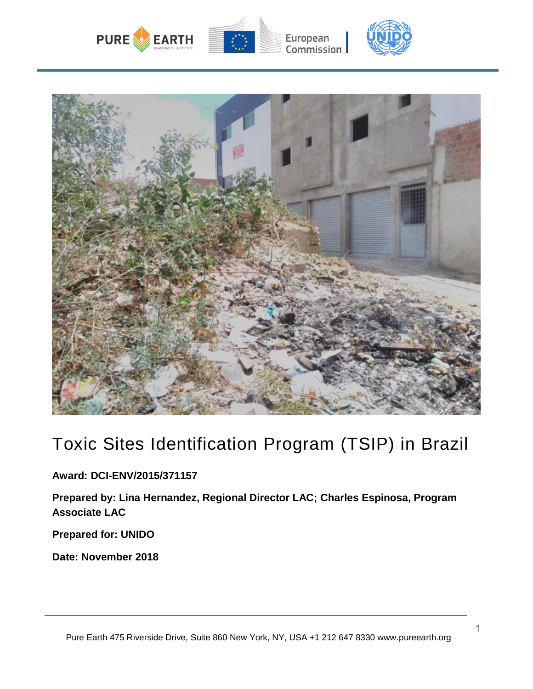



# Toxic Sites Identification Program (TSIP) in Brazil

**Award: DCI-ENV/2015/371157**

**Prepared by: Lina Hernandez, Regional Director LAC; Charles Espinosa, Program Associate LAC**

**Prepared for: UNIDO**

**Date: November 2018**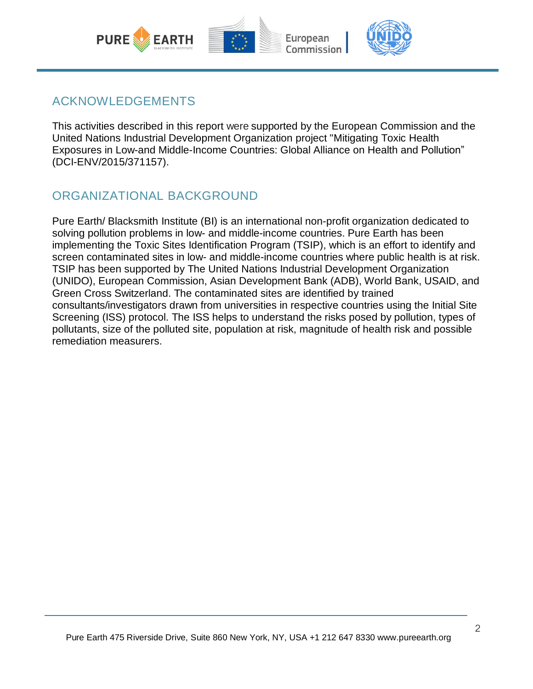

### ACKNOWLEDGEMENTS

This activities described in this report were supported by the European Commission and the United Nations Industrial Development Organization project "Mitigating Toxic Health Exposures in Low-and Middle-Income Countries: Global Alliance on Health and Pollution" (DCI-ENV/2015/371157).

### ORGANIZATIONAL BACKGROUND

Pure Earth/ Blacksmith Institute (BI) is an international non-profit organization dedicated to solving pollution problems in low- and middle-income countries. Pure Earth has been implementing the Toxic Sites Identification Program (TSIP), which is an effort to identify and screen contaminated sites in low- and middle-income countries where public health is at risk. TSIP has been supported by The United Nations Industrial Development Organization (UNIDO), European Commission, Asian Development Bank (ADB), World Bank, USAID, and Green Cross Switzerland. The contaminated sites are identified by trained consultants/investigators drawn from universities in respective countries using the Initial Site Screening (ISS) protocol. The ISS helps to understand the risks posed by pollution, types of pollutants, size of the polluted site, population at risk, magnitude of health risk and possible remediation measurers.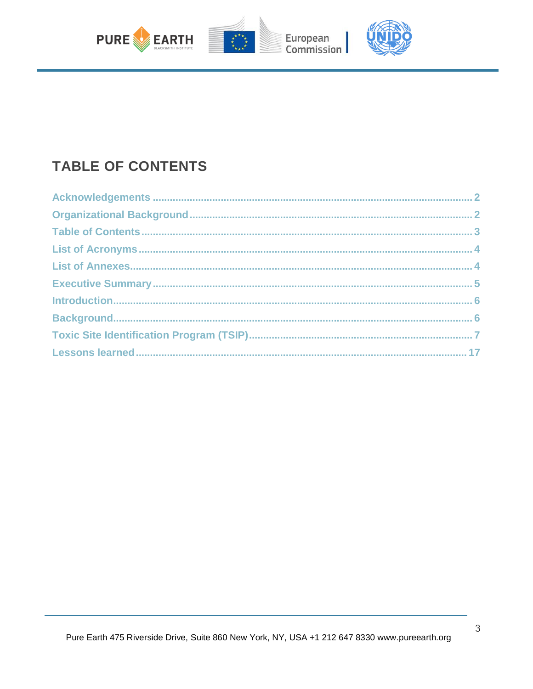

## **TABLE OF CONTENTS**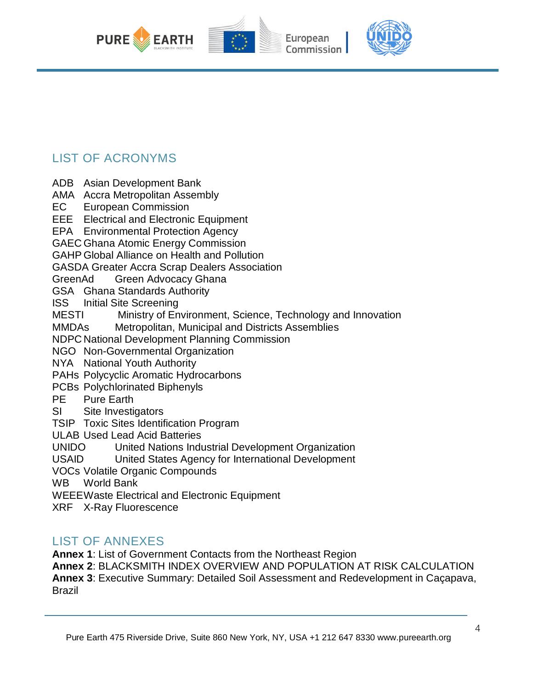

### LIST OF ACRONYMS

ADB Asian Development Bank

AMA Accra Metropolitan Assembly

EC European Commission

EEE Electrical and Electronic Equipment

EPA Environmental Protection Agency

GAEC Ghana Atomic Energy Commission

GAHP Global Alliance on Health and Pollution

GASDA Greater Accra Scrap Dealers Association

GreenAd Green Advocacy Ghana

GSA Ghana Standards Authority

ISS Initial Site Screening

MESTI Ministry of Environment, Science, Technology and Innovation

MMDAs Metropolitan, Municipal and Districts Assemblies

NDPC National Development Planning Commission

NGO Non-Governmental Organization

NYA National Youth Authority

PAHs Polycyclic Aromatic Hydrocarbons

PCBs Polychlorinated Biphenyls

- PE Pure Earth
- SI Site Investigators
- TSIP Toxic Sites Identification Program

ULAB Used Lead Acid Batteries

UNIDO United Nations Industrial Development Organization

USAID United States Agency for International Development

VOCs Volatile Organic Compounds

WB World Bank

WEEEWaste Electrical and Electronic Equipment

XRF X-Ray Fluorescence

### LIST OF ANNEXES

**Annex 1**: List of Government Contacts from the Northeast Region

**Annex 2**: BLACKSMITH INDEX OVERVIEW AND POPULATION AT RISK CALCULATION **Annex 3**: Executive Summary: Detailed Soil Assessment and Redevelopment in Caçapava, Brazil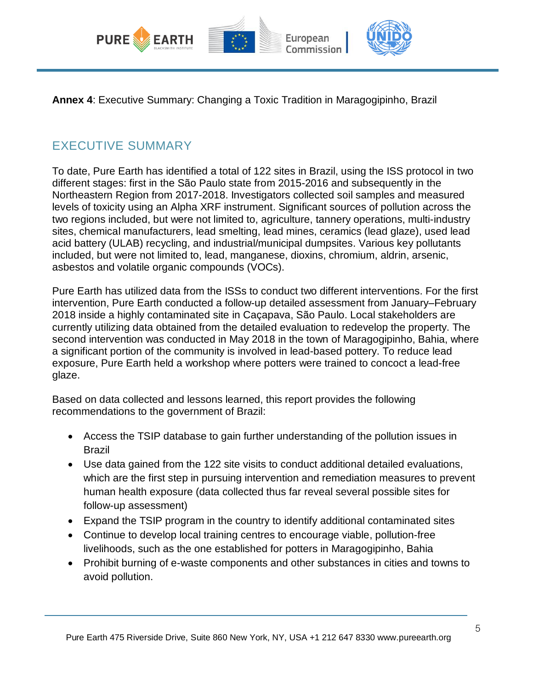

**Annex 4**: Executive Summary: Changing a Toxic Tradition in Maragogipinho, Brazil

### EXECUTIVE SUMMARY

To date, Pure Earth has identified a total of 122 sites in Brazil, using the ISS protocol in two different stages: first in the São Paulo state from 2015-2016 and subsequently in the Northeastern Region from 2017-2018. Investigators collected soil samples and measured levels of toxicity using an Alpha XRF instrument. Significant sources of pollution across the two regions included, but were not limited to, agriculture, tannery operations, multi-industry sites, chemical manufacturers, lead smelting, lead mines, ceramics (lead glaze), used lead acid battery (ULAB) recycling, and industrial/municipal dumpsites. Various key pollutants included, but were not limited to, lead, manganese, dioxins, chromium, aldrin, arsenic, asbestos and volatile organic compounds (VOCs).

Pure Earth has utilized data from the ISSs to conduct two different interventions. For the first intervention, Pure Earth conducted a follow-up detailed assessment from January–February 2018 inside a highly contaminated site in Caçapava, São Paulo. Local stakeholders are currently utilizing data obtained from the detailed evaluation to redevelop the property. The second intervention was conducted in May 2018 in the town of Maragogipinho, Bahia, where a significant portion of the community is involved in lead-based pottery. To reduce lead exposure, Pure Earth held a workshop where potters were trained to concoct a lead-free glaze.

Based on data collected and lessons learned, this report provides the following recommendations to the government of Brazil:

- Access the TSIP database to gain further understanding of the pollution issues in Brazil
- Use data gained from the 122 site visits to conduct additional detailed evaluations, which are the first step in pursuing intervention and remediation measures to prevent human health exposure (data collected thus far reveal several possible sites for follow-up assessment)
- Expand the TSIP program in the country to identify additional contaminated sites
- Continue to develop local training centres to encourage viable, pollution-free livelihoods, such as the one established for potters in Maragogipinho, Bahia
- Prohibit burning of e-waste components and other substances in cities and towns to avoid pollution.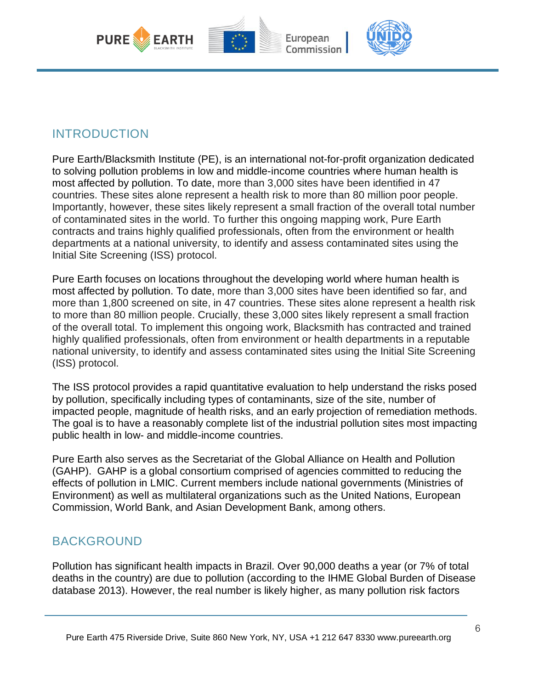

### INTRODUCTION

Pure Earth/Blacksmith Institute (PE), is an international not-for-profit organization dedicated to solving pollution problems in low and middle-income countries where human health is most affected by pollution. To date, more than 3,000 sites have been identified in 47 countries. These sites alone represent a health risk to more than 80 million poor people. Importantly, however, these sites likely represent a small fraction of the overall total number of contaminated sites in the world. To further this ongoing mapping work, Pure Earth contracts and trains highly qualified professionals, often from the environment or health departments at a national university, to identify and assess contaminated sites using the Initial Site Screening (ISS) protocol.

Pure Earth focuses on locations throughout the developing world where human health is most affected by pollution. To date, more than 3,000 sites have been identified so far, and more than 1,800 screened on site, in 47 countries. These sites alone represent a health risk to more than 80 million people. Crucially, these 3,000 sites likely represent a small fraction of the overall total. To implement this ongoing work, Blacksmith has contracted and trained highly qualified professionals, often from environment or health departments in a reputable national university, to identify and assess contaminated sites using the Initial Site Screening (ISS) protocol.

The ISS protocol provides a rapid quantitative evaluation to help understand the risks posed by pollution, specifically including types of contaminants, size of the site, number of impacted people, magnitude of health risks, and an early projection of remediation methods. The goal is to have a reasonably complete list of the industrial pollution sites most impacting public health in low- and middle-income countries.

Pure Earth also serves as the Secretariat of the Global Alliance on Health and Pollution (GAHP). GAHP is a global consortium comprised of agencies committed to reducing the effects of pollution in LMIC. Current members include national governments (Ministries of Environment) as well as multilateral organizations such as the United Nations, European Commission, World Bank, and Asian Development Bank, among others.

### BACKGROUND

Pollution has significant health impacts in Brazil. Over 90,000 deaths a year (or 7% of total deaths in the country) are due to pollution (according to the IHME Global Burden of Disease database 2013). However, the real number is likely higher, as many pollution risk factors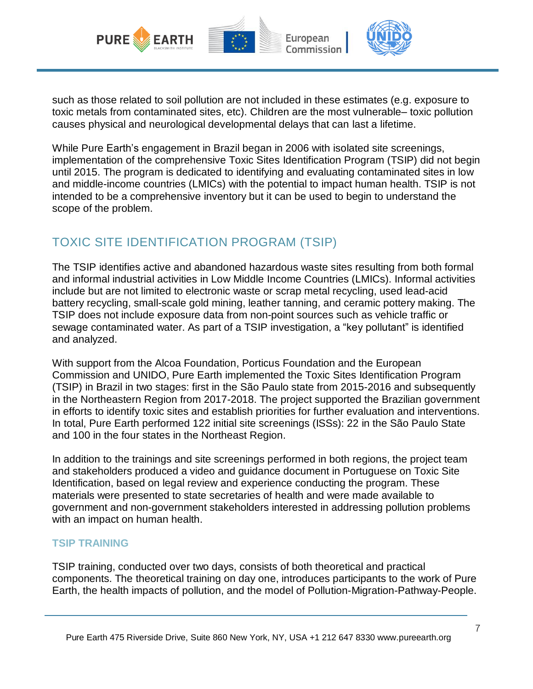

such as those related to soil pollution are not included in these estimates (e.g. exposure to toxic metals from contaminated sites, etc). Children are the most vulnerable– toxic pollution causes physical and neurological developmental delays that can last a lifetime.

While Pure Earth's engagement in Brazil began in 2006 with isolated site screenings, implementation of the comprehensive Toxic Sites Identification Program (TSIP) did not begin until 2015. The program is dedicated to identifying and evaluating contaminated sites in low and middle-income countries (LMICs) with the potential to impact human health. TSIP is not intended to be a comprehensive inventory but it can be used to begin to understand the scope of the problem.

### TOXIC SITE IDENTIFICATION PROGRAM (TSIP)

The TSIP identifies active and abandoned hazardous waste sites resulting from both formal and informal industrial activities in Low Middle Income Countries (LMICs). Informal activities include but are not limited to electronic waste or scrap metal recycling, used lead-acid battery recycling, small-scale gold mining, leather tanning, and ceramic pottery making. The TSIP does not include exposure data from non-point sources such as vehicle traffic or sewage contaminated water. As part of a TSIP investigation, a "key pollutant" is identified and analyzed.

With support from the Alcoa Foundation, Porticus Foundation and the European Commission and UNIDO, Pure Earth implemented the Toxic Sites Identification Program (TSIP) in Brazil in two stages: first in the São Paulo state from 2015-2016 and subsequently in the Northeastern Region from 2017-2018. The project supported the Brazilian government in efforts to identify toxic sites and establish priorities for further evaluation and interventions. In total, Pure Earth performed 122 initial site screenings (ISSs): 22 in the São Paulo State and 100 in the four states in the Northeast Region.

In addition to the trainings and site screenings performed in both regions, the project team and stakeholders produced a video and guidance document in Portuguese on Toxic Site Identification, based on legal review and experience conducting the program. These materials were presented to state secretaries of health and were made available to government and non-government stakeholders interested in addressing pollution problems with an impact on human health.

#### **TSIP TRAINING**

TSIP training, conducted over two days, consists of both theoretical and practical components. The theoretical training on day one, introduces participants to the work of Pure Earth, the health impacts of pollution, and the model of Pollution-Migration-Pathway-People.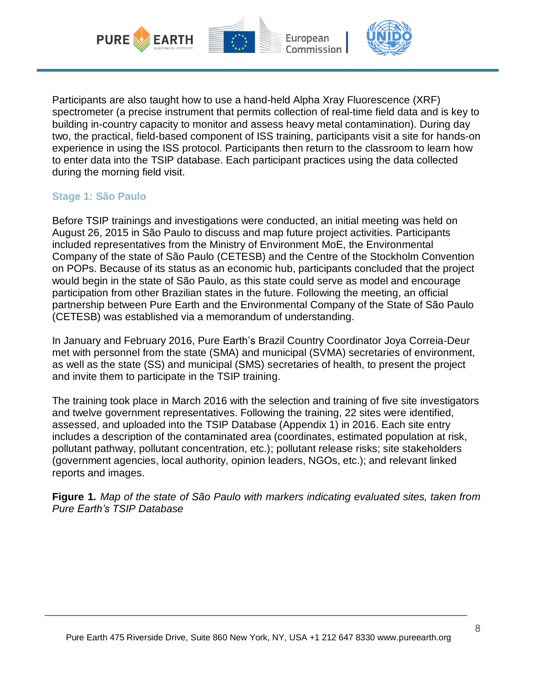

Participants are also taught how to use a hand-held Alpha Xray Fluorescence (XRF) spectrometer (a precise instrument that permits collection of real-time field data and is key to building in-country capacity to monitor and assess heavy metal contamination). During day two, the practical, field-based component of ISS training, participants visit a site for hands-on experience in using the ISS protocol. Participants then return to the classroom to learn how to enter data into the TSIP database. Each participant practices using the data collected during the morning field visit.

#### **Stage 1: São Paulo**

Before TSIP trainings and investigations were conducted, an initial meeting was held on August 26, 2015 in São Paulo to discuss and map future project activities. Participants included representatives from the Ministry of Environment MoE, the Environmental Company of the state of São Paulo (CETESB) and the Centre of the Stockholm Convention on POPs. Because of its status as an economic hub, participants concluded that the project would begin in the state of São Paulo, as this state could serve as model and encourage participation from other Brazilian states in the future. Following the meeting, an official partnership between Pure Earth and the Environmental Company of the State of São Paulo (CETESB) was established via a memorandum of understanding.

In January and February 2016, Pure Earth's Brazil Country Coordinator Joya Correia-Deur met with personnel from the state (SMA) and municipal (SVMA) secretaries of environment, as well as the state (SS) and municipal (SMS) secretaries of health, to present the project and invite them to participate in the TSIP training.

The training took place in March 2016 with the selection and training of five site investigators and twelve government representatives. Following the training, 22 sites were identified, assessed, and uploaded into the TSIP Database (Appendix 1) in 2016. Each site entry includes a description of the contaminated area (coordinates, estimated population at risk, pollutant pathway, pollutant concentration, etc.); pollutant release risks; site stakeholders (government agencies, local authority, opinion leaders, NGOs, etc.); and relevant linked reports and images.

**Figure 1***. Map of the state of São Paulo with markers indicating evaluated sites, taken from Pure Earth's TSIP Database*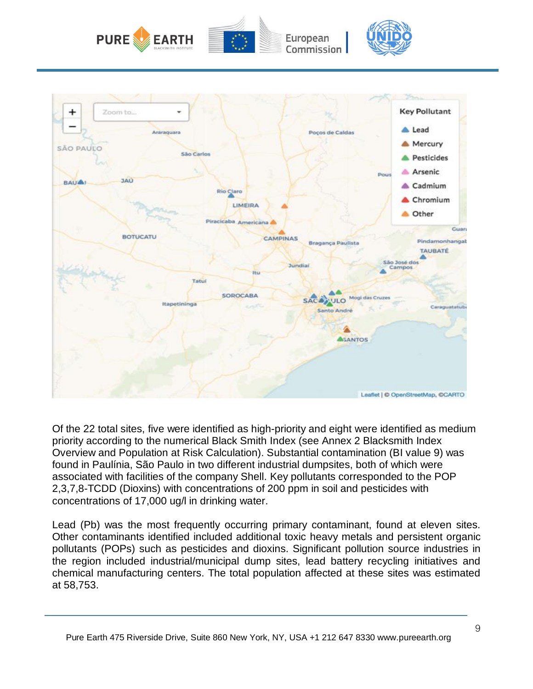



Of the 22 total sites, five were identified as high-priority and eight were identified as medium priority according to the numerical Black Smith Index (see Annex 2 Blacksmith Index Overview and Population at Risk Calculation). Substantial contamination (BI value 9) was found in Paulínia, São Paulo in two different industrial dumpsites, both of which were associated with facilities of the company Shell. Key pollutants corresponded to the POP 2,3,7,8-TCDD (Dioxins) with concentrations of 200 ppm in soil and pesticides with concentrations of 17,000 ug/l in drinking water.

Lead (Pb) was the most frequently occurring primary contaminant, found at eleven sites. Other contaminants identified included additional toxic heavy metals and persistent organic pollutants (POPs) such as pesticides and dioxins. Significant pollution source industries in the region included industrial/municipal dump sites, lead battery recycling initiatives and chemical manufacturing centers. The total population affected at these sites was estimated at 58,753.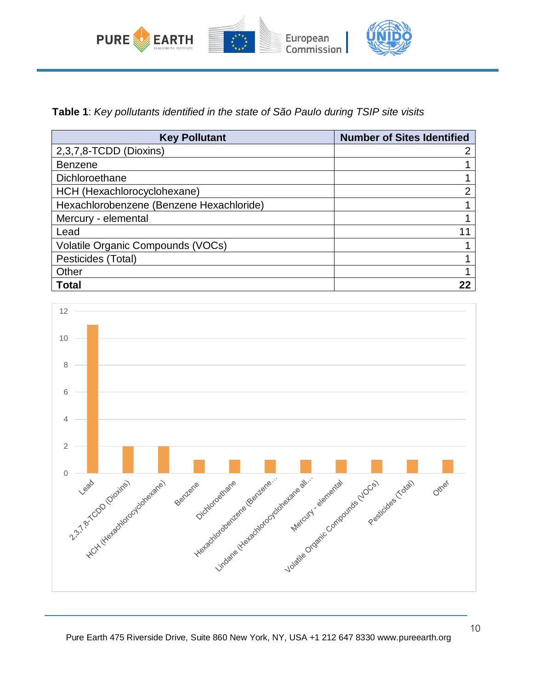

**Table 1**: *Key pollutants identified in the state of São Paulo during TSIP site visits*

| <b>Key Pollutant</b>                     | <b>Number of Sites Identified</b> |
|------------------------------------------|-----------------------------------|
| 2,3,7,8-TCDD (Dioxins)                   |                                   |
| <b>Benzene</b>                           |                                   |
| Dichloroethane                           |                                   |
| HCH (Hexachlorocyclohexane)              | 2                                 |
| Hexachlorobenzene (Benzene Hexachloride) |                                   |
| Mercury - elemental                      |                                   |
| Lead                                     |                                   |
| Volatile Organic Compounds (VOCs)        |                                   |
| Pesticides (Total)                       |                                   |
| Other                                    |                                   |
| <b>Total</b>                             |                                   |

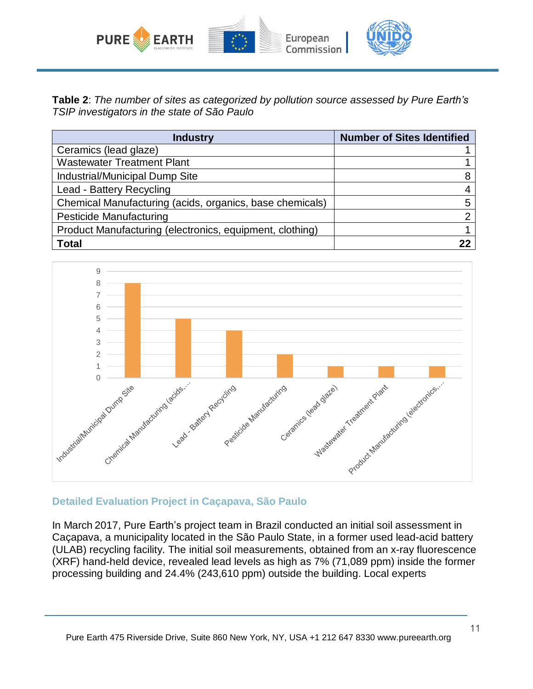

**Table 2**: *The number of sites as categorized by pollution source assessed by Pure Earth's TSIP investigators in the state of São Paulo*

| <b>Industry</b>                                          | <b>Number of Sites Identified</b> |
|----------------------------------------------------------|-----------------------------------|
| Ceramics (lead glaze)                                    |                                   |
| <b>Wastewater Treatment Plant</b>                        |                                   |
| Industrial/Municipal Dump Site                           | 8                                 |
| Lead - Battery Recycling                                 | 4                                 |
| Chemical Manufacturing (acids, organics, base chemicals) | 5                                 |
| Pesticide Manufacturing                                  | ◠                                 |
| Product Manufacturing (electronics, equipment, clothing) |                                   |
| <b>Total</b>                                             |                                   |



#### **Detailed Evaluation Project in Caçapava, São Paulo**

In March 2017, Pure Earth's project team in Brazil conducted an initial soil assessment in Caçapava, a municipality located in the São Paulo State, in a former used lead-acid battery (ULAB) recycling facility. The initial soil measurements, obtained from an x-ray fluorescence (XRF) hand-held device, revealed lead levels as high as 7% (71,089 ppm) inside the former processing building and 24.4% (243,610 ppm) outside the building. Local experts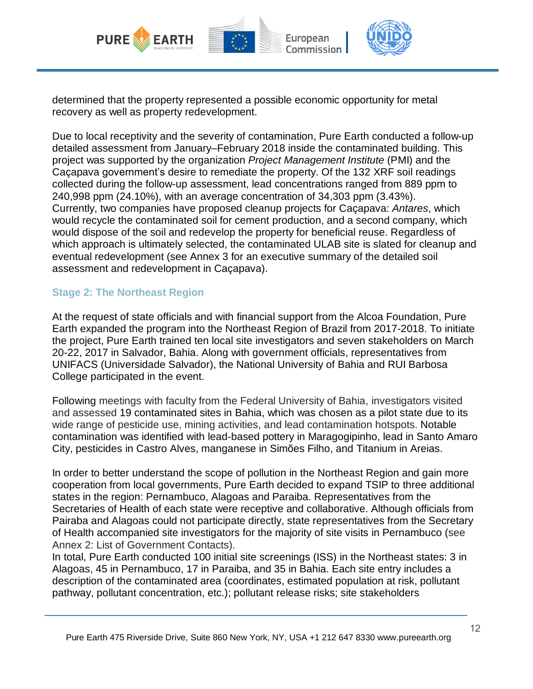

determined that the property represented a possible economic opportunity for metal recovery as well as property redevelopment.

Due to local receptivity and the severity of contamination, Pure Earth conducted a follow-up detailed assessment from January–February 2018 inside the contaminated building. This project was supported by the organization *Project Management Institute* (PMI) and the Caçapava government's desire to remediate the property. Of the 132 XRF soil readings collected during the follow-up assessment, lead concentrations ranged from 889 ppm to 240,998 ppm (24.10%), with an average concentration of 34,303 ppm (3.43%). Currently, two companies have proposed cleanup projects for Caçapava: *Antares*, which would recycle the contaminated soil for cement production, and a second company, which would dispose of the soil and redevelop the property for beneficial reuse. Regardless of which approach is ultimately selected, the contaminated ULAB site is slated for cleanup and eventual redevelopment (see Annex 3 for an executive summary of the detailed soil assessment and redevelopment in Caçapava).

#### **Stage 2: The Northeast Region**

At the request of state officials and with financial support from the Alcoa Foundation, Pure Earth expanded the program into the Northeast Region of Brazil from 2017-2018. To initiate the project, Pure Earth trained ten local site investigators and seven stakeholders on March 20-22, 2017 in Salvador, Bahia. Along with government officials, representatives from UNIFACS (Universidade Salvador), the National University of Bahia and RUI Barbosa College participated in the event.

Following meetings with faculty from the Federal University of Bahia, investigators visited and assessed 19 contaminated sites in Bahia, which was chosen as a pilot state due to its wide range of pesticide use, mining activities, and lead contamination hotspots. Notable contamination was identified with lead-based pottery in Maragogipinho, lead in Santo Amaro City, pesticides in Castro Alves, manganese in Simões Filho, and Titanium in Areias.

In order to better understand the scope of pollution in the Northeast Region and gain more cooperation from local governments, Pure Earth decided to expand TSIP to three additional states in the region: Pernambuco, Alagoas and Paraiba. Representatives from the Secretaries of Health of each state were receptive and collaborative. Although officials from Pairaba and Alagoas could not participate directly, state representatives from the Secretary of Health accompanied site investigators for the majority of site visits in Pernambuco (see Annex 2: List of Government Contacts).

In total, Pure Earth conducted 100 initial site screenings (ISS) in the Northeast states: 3 in Alagoas, 45 in Pernambuco, 17 in Paraiba, and 35 in Bahia. Each site entry includes a description of the contaminated area (coordinates, estimated population at risk, pollutant pathway, pollutant concentration, etc.); pollutant release risks; site stakeholders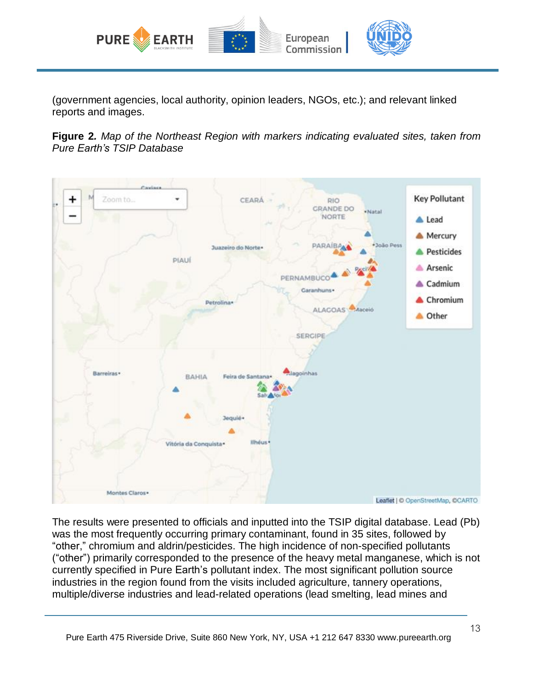

(government agencies, local authority, opinion leaders, NGOs, etc.); and relevant linked reports and images.

**Figure 2***. Map of the Northeast Region with markers indicating evaluated sites, taken from Pure Earth's TSIP Database*



The results were presented to officials and inputted into the TSIP digital database. Lead (Pb) was the most frequently occurring primary contaminant, found in 35 sites, followed by "other," chromium and aldrin/pesticides. The high incidence of non-specified pollutants ("other") primarily corresponded to the presence of the heavy metal manganese, which is not currently specified in Pure Earth's pollutant index. The most significant pollution source industries in the region found from the visits included agriculture, tannery operations, multiple/diverse industries and lead-related operations (lead smelting, lead mines and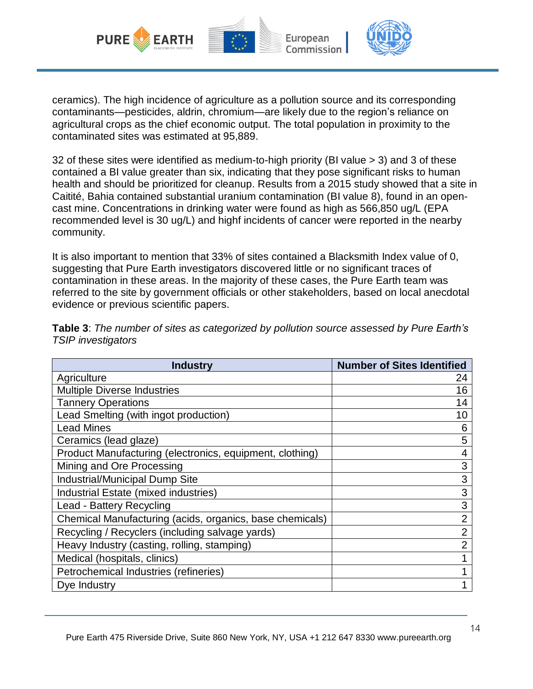

ceramics). The high incidence of agriculture as a pollution source and its corresponding contaminants—pesticides, aldrin, chromium—are likely due to the region's reliance on agricultural crops as the chief economic output. The total population in proximity to the contaminated sites was estimated at 95,889.

32 of these sites were identified as medium-to-high priority (BI value > 3) and 3 of these contained a BI value greater than six, indicating that they pose significant risks to human health and should be prioritized for cleanup. Results from a 2015 study showed that a site in Caitité, Bahia contained substantial uranium contamination (BI value 8), found in an opencast mine. Concentrations in drinking water were found as high as 566,850 ug/L (EPA recommended level is 30 ug/L) and highf incidents of cancer were reported in the nearby community.

It is also important to mention that 33% of sites contained a Blacksmith Index value of 0, suggesting that Pure Earth investigators discovered little or no significant traces of contamination in these areas. In the majority of these cases, the Pure Earth team was referred to the site by government officials or other stakeholders, based on local anecdotal evidence or previous scientific papers.

| <b>Industry</b>                                          | <b>Number of Sites Identified</b> |
|----------------------------------------------------------|-----------------------------------|
| Agriculture                                              | 24                                |
| <b>Multiple Diverse Industries</b>                       | 16                                |
| <b>Tannery Operations</b>                                | 14                                |
| Lead Smelting (with ingot production)                    | 10                                |
| <b>Lead Mines</b>                                        | 6                                 |
| Ceramics (lead glaze)                                    | 5                                 |
| Product Manufacturing (electronics, equipment, clothing) | 4                                 |
| Mining and Ore Processing                                | 3                                 |
| Industrial/Municipal Dump Site                           | 3                                 |
| Industrial Estate (mixed industries)                     | 3                                 |
| Lead - Battery Recycling                                 | 3                                 |
| Chemical Manufacturing (acids, organics, base chemicals) | $\overline{2}$                    |
| Recycling / Recyclers (including salvage yards)          | $\overline{2}$                    |
| Heavy Industry (casting, rolling, stamping)              | $\overline{2}$                    |
| Medical (hospitals, clinics)                             |                                   |
| Petrochemical Industries (refineries)                    |                                   |
| Dye Industry                                             |                                   |

**Table 3**: *The number of sites as categorized by pollution source assessed by Pure Earth's TSIP investigators*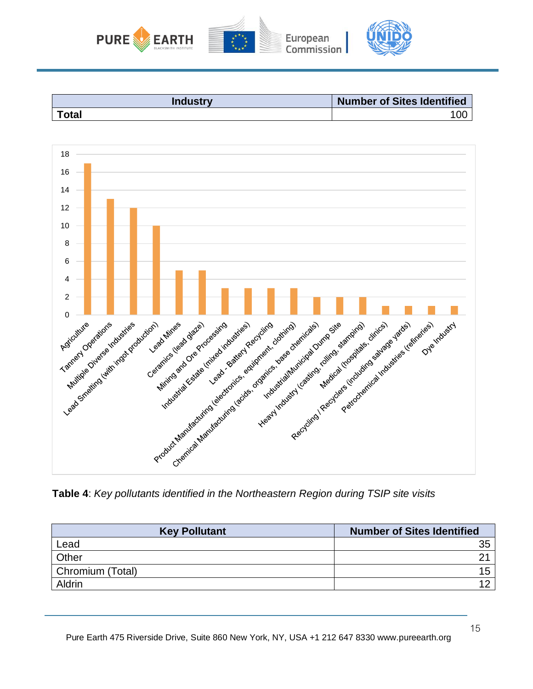





**Table 4**: *Key pollutants identified in the Northeastern Region during TSIP site visits*

| <b>Key Pollutant</b> | <b>Number of Sites Identified</b> |
|----------------------|-----------------------------------|
| Lead                 | 35                                |
| Other                |                                   |
| Chromium (Total)     |                                   |
| Aldrin               |                                   |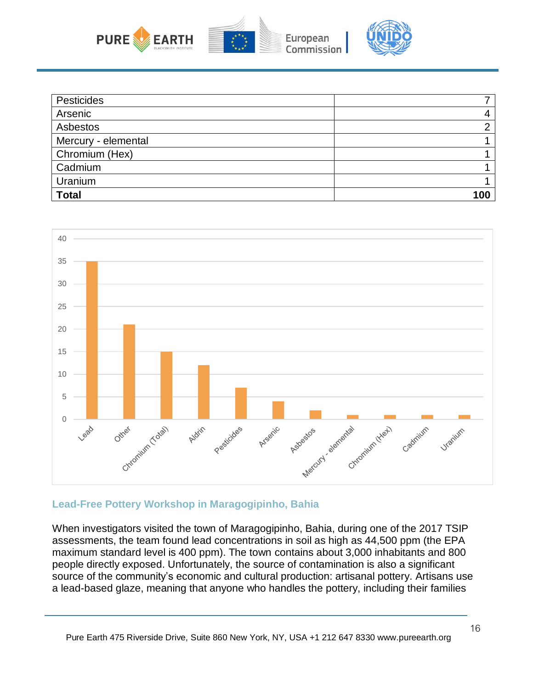

| Pesticides          |     |
|---------------------|-----|
| Arsenic             |     |
| Asbestos            | ◠   |
| Mercury - elemental |     |
| Chromium (Hex)      |     |
| Cadmium             |     |
| Uranium             |     |
| <b>Total</b>        | 100 |



#### **Lead-Free Pottery Workshop in Maragogipinho, Bahia**

When investigators visited the town of Maragogipinho, Bahia, during one of the 2017 TSIP assessments, the team found lead concentrations in soil as high as 44,500 ppm (the EPA maximum standard level is 400 ppm). The town contains about 3,000 inhabitants and 800 people directly exposed. Unfortunately, the source of contamination is also a significant source of the community's economic and cultural production: artisanal pottery. Artisans use a lead-based glaze, meaning that anyone who handles the pottery, including their families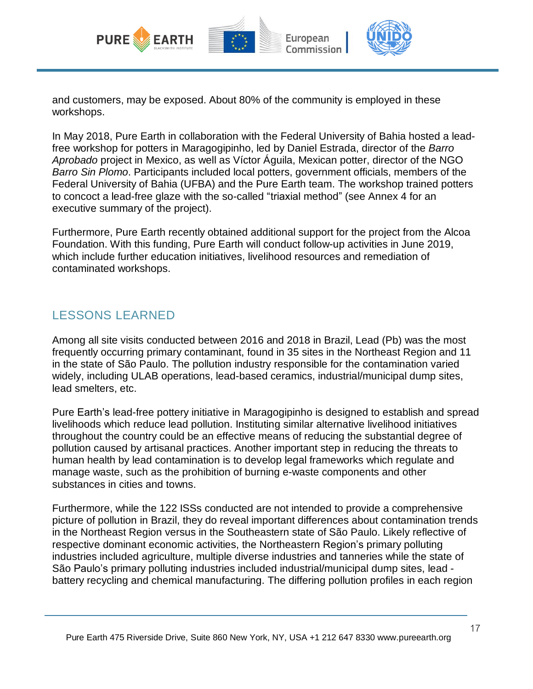

and customers, may be exposed. About 80% of the community is employed in these workshops.

In May 2018, Pure Earth in collaboration with the Federal University of Bahia hosted a leadfree workshop for potters in Maragogipinho, led by Daniel Estrada, director of the *Barro Aprobado* project in Mexico, as well as Víctor Águila, Mexican potter, director of the NGO *Barro Sin Plomo*. Participants included local potters, government officials, members of the Federal University of Bahia (UFBA) and the Pure Earth team. The workshop trained potters to concoct a lead-free glaze with the so-called "triaxial method" (see Annex 4 for an executive summary of the project).

Furthermore, Pure Earth recently obtained additional support for the project from the Alcoa Foundation. With this funding, Pure Earth will conduct follow-up activities in June 2019, which include further education initiatives, livelihood resources and remediation of contaminated workshops.

### LESSONS LEARNED

Among all site visits conducted between 2016 and 2018 in Brazil, Lead (Pb) was the most frequently occurring primary contaminant, found in 35 sites in the Northeast Region and 11 in the state of São Paulo. The pollution industry responsible for the contamination varied widely, including ULAB operations, lead-based ceramics, industrial/municipal dump sites, lead smelters, etc.

Pure Earth's lead-free pottery initiative in Maragogipinho is designed to establish and spread livelihoods which reduce lead pollution. Instituting similar alternative livelihood initiatives throughout the country could be an effective means of reducing the substantial degree of pollution caused by artisanal practices. Another important step in reducing the threats to human health by lead contamination is to develop legal frameworks which regulate and manage waste, such as the prohibition of burning e-waste components and other substances in cities and towns.

Furthermore, while the 122 ISSs conducted are not intended to provide a comprehensive picture of pollution in Brazil, they do reveal important differences about contamination trends in the Northeast Region versus in the Southeastern state of São Paulo. Likely reflective of respective dominant economic activities, the Northeastern Region's primary polluting industries included agriculture, multiple diverse industries and tanneries while the state of São Paulo's primary polluting industries included industrial/municipal dump sites, lead battery recycling and chemical manufacturing. The differing pollution profiles in each region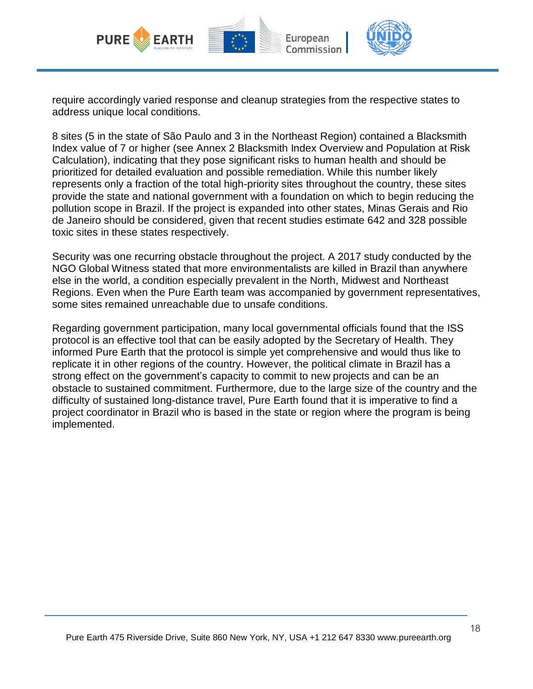

require accordingly varied response and cleanup strategies from the respective states to address unique local conditions.

8 sites (5 in the state of São Paulo and 3 in the Northeast Region) contained a Blacksmith Index value of 7 or higher (see Annex 2 Blacksmith Index Overview and Population at Risk Calculation), indicating that they pose significant risks to human health and should be prioritized for detailed evaluation and possible remediation. While this number likely represents only a fraction of the total high-priority sites throughout the country, these sites provide the state and national government with a foundation on which to begin reducing the pollution scope in Brazil. If the project is expanded into other states, Minas Gerais and Rio de Janeiro should be considered, given that recent studies estimate 642 and 328 possible toxic sites in these states respectively.

Security was one recurring obstacle throughout the project. A 2017 study conducted by the NGO Global Witness stated that more environmentalists are killed in Brazil than anywhere else in the world, a condition especially prevalent in the North, Midwest and Northeast Regions. Even when the Pure Earth team was accompanied by government representatives, some sites remained unreachable due to unsafe conditions.

Regarding government participation, many local governmental officials found that the ISS protocol is an effective tool that can be easily adopted by the Secretary of Health. They informed Pure Earth that the protocol is simple yet comprehensive and would thus like to replicate it in other regions of the country. However, the political climate in Brazil has a strong effect on the government's capacity to commit to new projects and can be an obstacle to sustained commitment. Furthermore, due to the large size of the country and the difficulty of sustained long-distance travel, Pure Earth found that it is imperative to find a project coordinator in Brazil who is based in the state or region where the program is being implemented.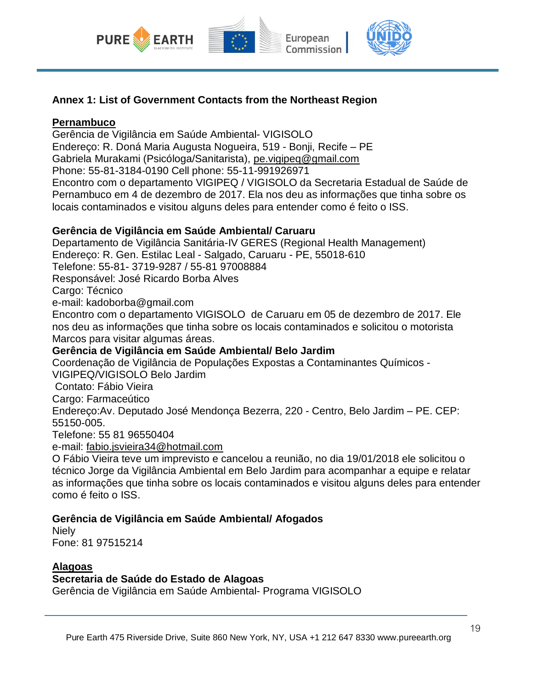

#### **Annex 1: List of Government Contacts from the Northeast Region**

#### **Pernambuco**

Gerência de Vigilância em Saúde Ambiental- VIGISOLO Endereço: R. Doná Maria Augusta Nogueira, 519 - Bonji, Recife – PE Gabriela Murakami (Psicóloga/Sanitarista), [pe.vigipeq@gmail.com](mailto:pe.vigipeq@gmail.com) Phone: 55-81-3184-0190 Cell phone: 55-11-991926971 Encontro com o departamento VIGIPEQ / VIGISOLO da Secretaria Estadual de Saúde de Pernambuco em 4 de dezembro de 2017. Ela nos deu as informações que tinha sobre os locais contaminados e visitou alguns deles para entender como é feito o ISS.

#### **Gerência de Vigilância em Saúde Ambiental/ Caruaru**

Departamento de Vigilância Sanitária-IV GERES (Regional Health Management) Endereço: R. Gen. Estilac Leal - Salgado, Caruaru - PE, 55018-610 Telefone: 55-81- 3719-9287 / 55-81 97008884 Responsável: José Ricardo Borba Alves Cargo: Técnico e-mail: kadoborba@gmail.com Encontro com o departamento VIGISOLO de Caruaru em 05 de dezembro de 2017. Ele nos deu as informações que tinha sobre os locais contaminados e solicitou o motorista

Marcos para visitar algumas áreas.

#### **Gerência de Vigilância em Saúde Ambiental/ Belo Jardim**

Coordenação de Vigilância de Populações Expostas a Contaminantes Químicos -

VIGIPEQ/VIGISOLO Belo Jardim

Contato: Fábio Vieira

Cargo: Farmaceútico

Endereço:Av. Deputado José Mendonça Bezerra, 220 - Centro, Belo Jardim – PE. CEP: 55150-005.

Telefone: 55 81 96550404

e-mail: [fabio.jsvieira34@hotmail.com](mailto:fabio.jsvieira34@hotmail.com)

O Fábio Vieira teve um imprevisto e cancelou a reunião, no dia 19/01/2018 ele solicitou o técnico Jorge da Vigilância Ambiental em Belo Jardim para acompanhar a equipe e relatar as informações que tinha sobre os locais contaminados e visitou alguns deles para entender como é feito o ISS.

#### **Gerência de Vigilância em Saúde Ambiental/ Afogados**

**Niely** Fone: 81 97515214

#### **Alagoas**

#### **Secretaria de Saúde do Estado de Alagoas**

Gerência de Vigilância em Saúde Ambiental- Programa VIGISOLO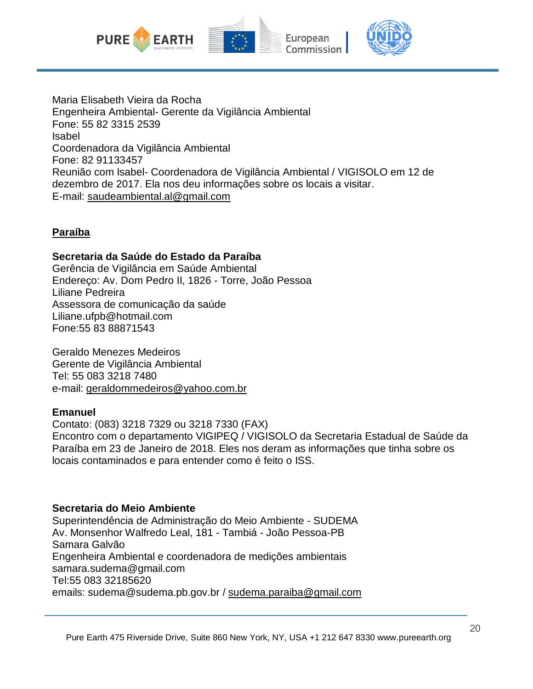

Maria Elisabeth Vieira da Rocha Engenheira Ambiental- Gerente da Vigilância Ambiental Fone: 55 82 3315 2539 Isabel Coordenadora da Vigilância Ambiental Fone: 82 91133457 Reunião com Isabel- Coordenadora de Vigilância Ambiental / VIGISOLO em 12 de dezembro de 2017. Ela nos deu informações sobre os locais a visitar. E-mail: [saudeambiental.al@gmail.com](mailto:saudeambiental.al@gmail.com)

#### **Paraíba**

#### **Secretaria da Saúde do Estado da Paraíba**

Gerência de Vigilância em Saúde Ambiental Endereço: Av. Dom Pedro II, 1826 - Torre, João Pessoa Liliane Pedreira Assessora de comunicação da saúde Liliane.ufpb@hotmail.com Fone:55 83 88871543

Geraldo Menezes Medeiros Gerente de Vigilância Ambiental Tel: 55 083 3218 7480 e-mail: [geraldommedeiros@yahoo.com.br](mailto:geraldommedeiros@yahoo.com.br)

#### **Emanuel**

Contato: (083) 3218 7329 ou 3218 7330 (FAX) Encontro com o departamento VIGIPEQ / VIGISOLO da Secretaria Estadual de Saúde da Paraíba em 23 de Janeiro de 2018. Eles nos deram as informações que tinha sobre os locais contaminados e para entender como é feito o ISS.

#### **Secretaria do Meio Ambiente**

Superintendência de Administração do Meio Ambiente - SUDEMA Av. Monsenhor Walfredo Leal, 181 - Tambiá - João Pessoa-PB Samara Galvão Engenheira Ambiental e coordenadora de medições ambientais samara.sudema@gmail.com Tel:55 083 32185620 emails: sudema@sudema.pb.gov.br / [sudema.paraiba@gmail.com](mailto:sudema.paraiba@gmail.com)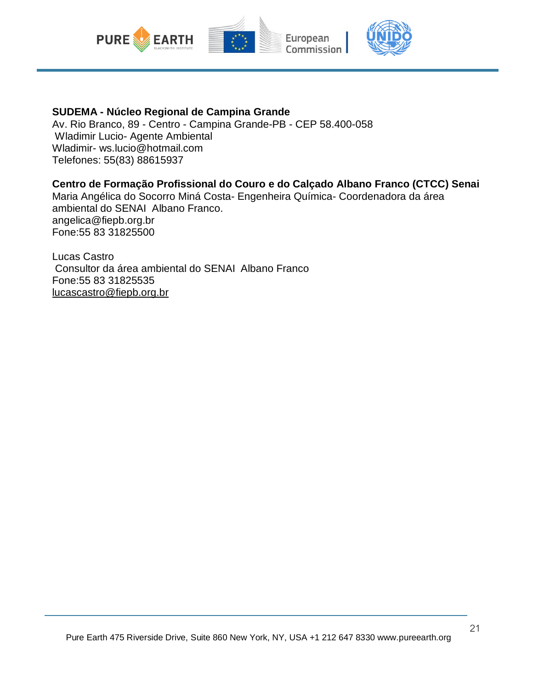

#### **SUDEMA - Núcleo Regional de Campina Grande**

Av. Rio Branco, 89 - Centro - Campina Grande-PB - CEP 58.400-058 Wladimir Lucio- Agente Ambiental Wladimir- ws.lucio@hotmail.com Telefones: 55(83) 88615937

#### **Centro de Formação Profissional do Couro e do Calçado Albano Franco (CTCC) Senai**

Maria Angélica do Socorro Miná Costa- Engenheira Química- Coordenadora da área ambiental do SENAI Albano Franco. angelica@fiepb.org.br Fone:55 83 31825500

Lucas Castro Consultor da área ambiental do SENAI Albano Franco Fone:55 83 31825535 [lucascastro@fiepb.org.br](mailto:lucascastro@fiepb.org.br)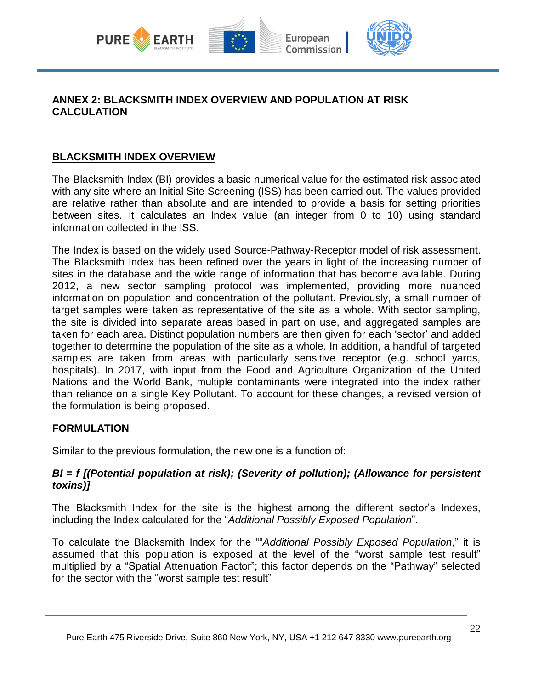

#### **ANNEX 2: BLACKSMITH INDEX OVERVIEW AND POPULATION AT RISK CALCULATION**

#### **BLACKSMITH INDEX OVERVIEW**

The Blacksmith Index (BI) provides a basic numerical value for the estimated risk associated with any site where an Initial Site Screening (ISS) has been carried out. The values provided are relative rather than absolute and are intended to provide a basis for setting priorities between sites. It calculates an Index value (an integer from 0 to 10) using standard information collected in the ISS.

The Index is based on the widely used Source-Pathway-Receptor model of risk assessment. The Blacksmith Index has been refined over the years in light of the increasing number of sites in the database and the wide range of information that has become available. During 2012, a new sector sampling protocol was implemented, providing more nuanced information on population and concentration of the pollutant. Previously, a small number of target samples were taken as representative of the site as a whole. With sector sampling, the site is divided into separate areas based in part on use, and aggregated samples are taken for each area. Distinct population numbers are then given for each 'sector' and added together to determine the population of the site as a whole. In addition, a handful of targeted samples are taken from areas with particularly sensitive receptor (e.g. school yards, hospitals). In 2017, with input from the Food and Agriculture Organization of the United Nations and the World Bank, multiple contaminants were integrated into the index rather than reliance on a single Key Pollutant. To account for these changes, a revised version of the formulation is being proposed.

#### **FORMULATION**

Similar to the previous formulation, the new one is a function of:

#### *BI = f [(Potential population at risk); (Severity of pollution); (Allowance for persistent toxins)]*

The Blacksmith Index for the site is the highest among the different sector's Indexes, including the Index calculated for the "*Additional Possibly Exposed Population*".

To calculate the Blacksmith Index for the ""*Additional Possibly Exposed Population*," it is assumed that this population is exposed at the level of the "worst sample test result" multiplied by a "Spatial Attenuation Factor"; this factor depends on the "Pathway" selected for the sector with the "worst sample test result"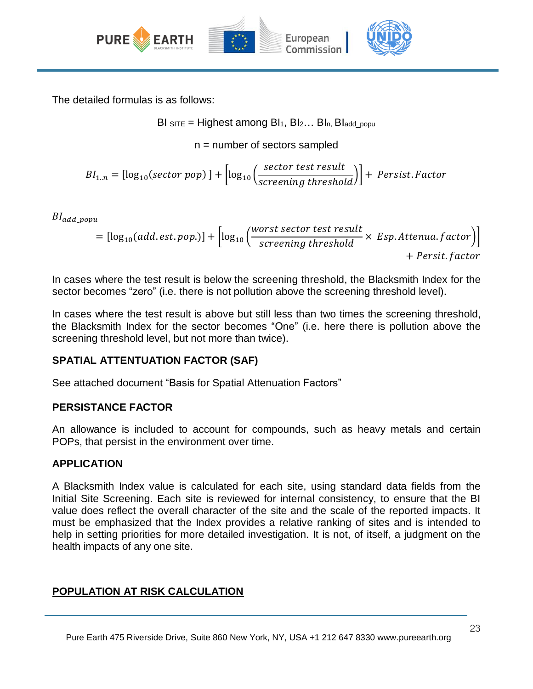

The detailed formulas is as follows:

BI SITE = Highest among BI1, BI2… BIn, BIadd\_popu

n = number of sectors sampled

$$
BI_{1..n} = [\log_{10}(sector\ pop)] + [\log_{10}\left(\frac{sector\ test\ result}{screening\ threshold}\right)] + \text{Persist. Factor}
$$

 $B_{ladd\ popu}$ 

$$
= [log_{10}(add. est. pop.)] + [log_{10}\left(\frac{worst sector test result}{screening threshold} \times Esp. Attenua. factor\right) + Persit. factor
$$

In cases where the test result is below the screening threshold, the Blacksmith Index for the sector becomes "zero" (i.e. there is not pollution above the screening threshold level).

In cases where the test result is above but still less than two times the screening threshold, the Blacksmith Index for the sector becomes "One" (i.e. here there is pollution above the screening threshold level, but not more than twice).

#### **SPATIAL ATTENTUATION FACTOR (SAF)**

See attached document "Basis for Spatial Attenuation Factors"

#### **PERSISTANCE FACTOR**

An allowance is included to account for compounds, such as heavy metals and certain POPs, that persist in the environment over time.

#### **APPLICATION**

A Blacksmith Index value is calculated for each site, using standard data fields from the Initial Site Screening. Each site is reviewed for internal consistency, to ensure that the BI value does reflect the overall character of the site and the scale of the reported impacts. It must be emphasized that the Index provides a relative ranking of sites and is intended to help in setting priorities for more detailed investigation. It is not, of itself, a judgment on the health impacts of any one site.

#### **POPULATION AT RISK CALCULATION**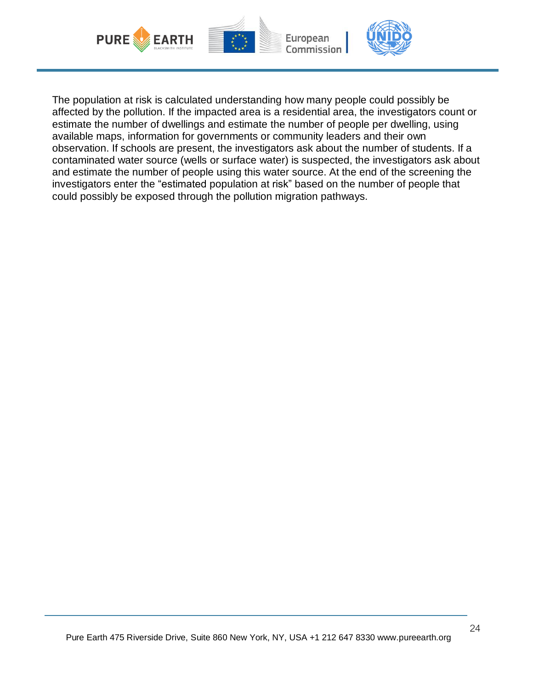

The population at risk is calculated understanding how many people could possibly be affected by the pollution. If the impacted area is a residential area, the investigators count or estimate the number of dwellings and estimate the number of people per dwelling, using available maps, information for governments or community leaders and their own observation. If schools are present, the investigators ask about the number of students. If a contaminated water source (wells or surface water) is suspected, the investigators ask about and estimate the number of people using this water source. At the end of the screening the investigators enter the "estimated population at risk" based on the number of people that could possibly be exposed through the pollution migration pathways.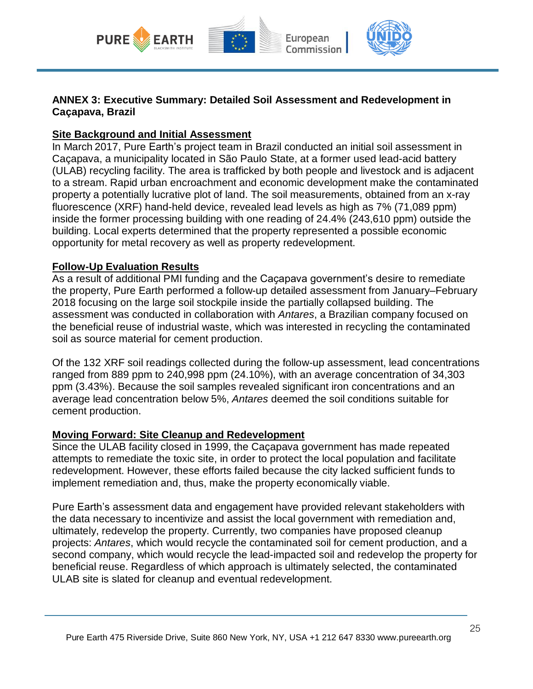

#### **ANNEX 3: Executive Summary: Detailed Soil Assessment and Redevelopment in Caçapava, Brazil**

#### **Site Background and Initial Assessment**

In March 2017, Pure Earth's project team in Brazil conducted an initial soil assessment in Caçapava, a municipality located in São Paulo State, at a former used lead-acid battery (ULAB) recycling facility. The area is trafficked by both people and livestock and is adjacent to a stream. Rapid urban encroachment and economic development make the contaminated property a potentially lucrative plot of land. The soil measurements, obtained from an x-ray fluorescence (XRF) hand-held device, revealed lead levels as high as 7% (71,089 ppm) inside the former processing building with one reading of 24.4% (243,610 ppm) outside the building. Local experts determined that the property represented a possible economic opportunity for metal recovery as well as property redevelopment.

#### **Follow-Up Evaluation Results**

As a result of additional PMI funding and the Caçapava government's desire to remediate the property, Pure Earth performed a follow-up detailed assessment from January–February 2018 focusing on the large soil stockpile inside the partially collapsed building. The assessment was conducted in collaboration with *Antares*, a Brazilian company focused on the beneficial reuse of industrial waste, which was interested in recycling the contaminated soil as source material for cement production.

Of the 132 XRF soil readings collected during the follow-up assessment, lead concentrations ranged from 889 ppm to 240,998 ppm (24.10%), with an average concentration of 34,303 ppm (3.43%). Because the soil samples revealed significant iron concentrations and an average lead concentration below 5%, *Antares* deemed the soil conditions suitable for cement production.

#### **Moving Forward: Site Cleanup and Redevelopment**

Since the ULAB facility closed in 1999, the Caçapava government has made repeated attempts to remediate the toxic site, in order to protect the local population and facilitate redevelopment. However, these efforts failed because the city lacked sufficient funds to implement remediation and, thus, make the property economically viable.

Pure Earth's assessment data and engagement have provided relevant stakeholders with the data necessary to incentivize and assist the local government with remediation and, ultimately, redevelop the property. Currently, two companies have proposed cleanup projects: *Antares*, which would recycle the contaminated soil for cement production, and a second company, which would recycle the lead-impacted soil and redevelop the property for beneficial reuse. Regardless of which approach is ultimately selected, the contaminated ULAB site is slated for cleanup and eventual redevelopment.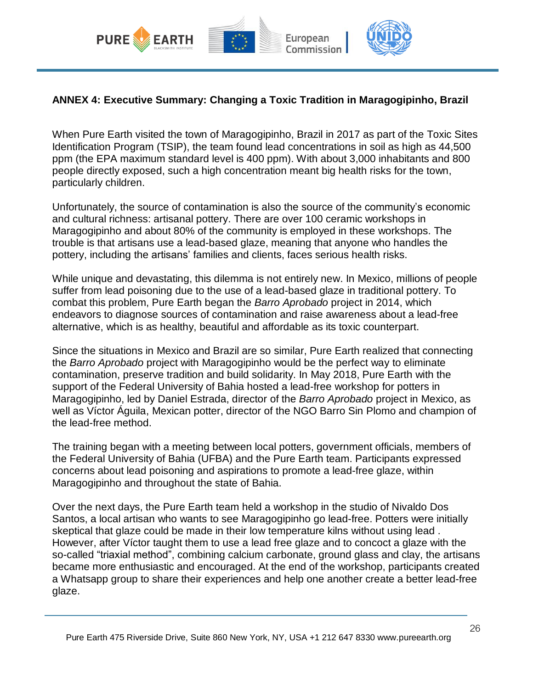

#### **ANNEX 4: Executive Summary: Changing a Toxic Tradition in Maragogipinho, Brazil**

When Pure Earth visited the town of Maragogipinho, Brazil in 2017 as part of the Toxic Sites Identification Program (TSIP), the team found lead concentrations in soil as high as 44,500 ppm (the EPA maximum standard level is 400 ppm). With about 3,000 inhabitants and 800 people directly exposed, such a high concentration meant big health risks for the town, particularly children.

Unfortunately, the source of contamination is also the source of the community's economic and cultural richness: artisanal pottery. There are over 100 ceramic workshops in Maragogipinho and about 80% of the community is employed in these workshops. The trouble is that artisans use a lead-based glaze, meaning that anyone who handles the pottery, including the artisans' families and clients, faces serious health risks.

While unique and devastating, this dilemma is not entirely new. In Mexico, millions of people suffer from lead poisoning due to the use of a lead-based glaze in traditional pottery. To combat this problem, Pure Earth began the *Barro Aprobado* project in 2014, which endeavors to diagnose sources of contamination and raise awareness about a lead-free alternative, which is as healthy, beautiful and affordable as its toxic counterpart.

Since the situations in Mexico and Brazil are so similar, Pure Earth realized that connecting the *Barro Aprobado* project with Maragogipinho would be the perfect way to eliminate contamination, preserve tradition and build solidarity. In May 2018, Pure Earth with the support of the Federal University of Bahia hosted a lead-free workshop for potters in Maragogipinho, led by Daniel Estrada, director of the *Barro Aprobado* project in Mexico, as well as Víctor Águila, Mexican potter, director of the NGO Barro Sin Plomo and champion of the lead-free method.

The training began with a meeting between local potters, government officials, members of the Federal University of Bahia (UFBA) and the Pure Earth team. Participants expressed concerns about lead poisoning and aspirations to promote a lead-free glaze, within Maragogipinho and throughout the state of Bahia.

Over the next days, the Pure Earth team held a workshop in the studio of Nivaldo Dos Santos, a local artisan who wants to see Maragogipinho go lead-free. Potters were initially skeptical that glaze could be made in their low temperature kilns without using lead . However, after Víctor taught them to use a lead free glaze and to concoct a glaze with the so-called "triaxial method", combining calcium carbonate, ground glass and clay, the artisans became more enthusiastic and encouraged. At the end of the workshop, participants created a Whatsapp group to share their experiences and help one another create a better lead-free glaze.